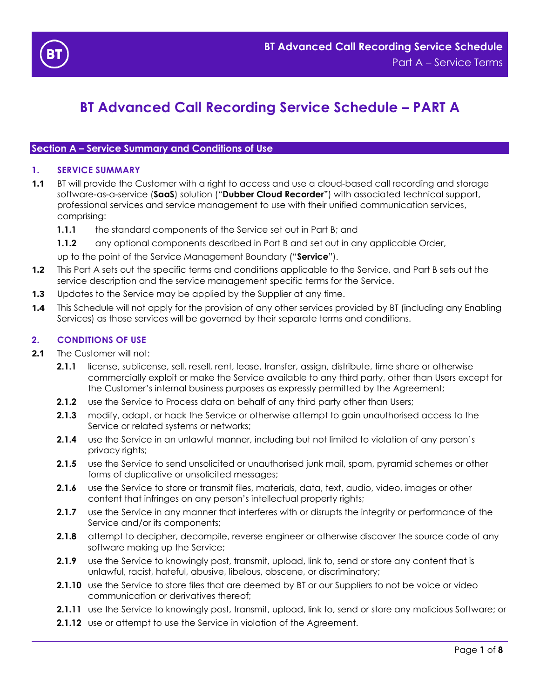

# **BT Advanced Call Recording Service Schedule – PART A**

## **Section A – Service Summary and Conditions of Use**

#### **1. SERVICE SUMMARY**

- **1.1** BT will provide the Customer with a right to access and use a cloud-based call recording and storage software-as-a-service (**SaaS**) solution ("**Dubber Cloud Recorder"**) with associated technical support, professional services and service management to use with their unified communication services, comprising:
	- **1.1.1** the standard components of the Service set out in Part B; and
	- **1.1.2** any optional components described in Part B and set out in any applicable Order,

up to the point of the Service Management Boundary ("**Service**").

- **1.2** This Part A sets out the specific terms and conditions applicable to the Service, and Part B sets out the service description and the service management specific terms for the Service.
- **1.3** Updates to the Service may be applied by the Supplier at any time.
- **1.4** This Schedule will not apply for the provision of any other services provided by BT (including any Enabling Services) as those services will be governed by their separate terms and conditions.

#### **2. CONDITIONS OF USE**

- **2.1** The Customer will not:
	- **2.1.1** license, sublicense, sell, resell, rent, lease, transfer, assign, distribute, time share or otherwise commercially exploit or make the Service available to any third party, other than Users except for the Customer's internal business purposes as expressly permitted by the Agreement;
	- **2.1.2** use the Service to Process data on behalf of any third party other than Users;
	- **2.1.3** modify, adapt, or hack the Service or otherwise attempt to gain unauthorised access to the Service or related systems or networks;
	- **2.1.4** use the Service in an unlawful manner, including but not limited to violation of any person's privacy rights;
	- **2.1.5** use the Service to send unsolicited or unauthorised junk mail, spam, pyramid schemes or other forms of duplicative or unsolicited messages;
	- **2.1.6** use the Service to store or transmit files, materials, data, text, audio, video, images or other content that infringes on any person's intellectual property rights;
	- **2.1.7** use the Service in any manner that interferes with or disrupts the integrity or performance of the Service and/or its components;
	- **2.1.8** attempt to decipher, decompile, reverse engineer or otherwise discover the source code of any software making up the Service;
	- **2.1.9** use the Service to knowingly post, transmit, upload, link to, send or store any content that is unlawful, racist, hateful, abusive, libelous, obscene, or discriminatory;
	- **2.1.10** use the Service to store files that are deemed by BT or our Suppliers to not be voice or video communication or derivatives thereof;
	- **2.1.11** use the Service to knowingly post, transmit, upload, link to, send or store any malicious Software; or
	- **2.1.12** use or attempt to use the Service in violation of the Agreement.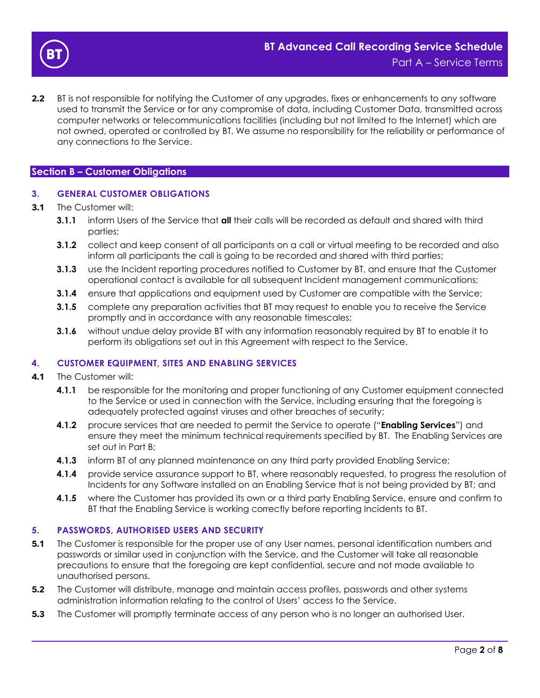

**2.2** BT is not responsible for notifying the Customer of any upgrades, fixes or enhancements to any software used to transmit the Service or for any compromise of data, including Customer Data, transmitted across computer networks or telecommunications facilities (including but not limited to the Internet) which are not owned, operated or controlled by BT. We assume no responsibility for the reliability or performance of any connections to the Service.

#### **Section B – Customer Obligations**

## **3. GENERAL CUSTOMER OBLIGATIONS**

- **3.1** The Customer will:
	- **3.1.1** inform Users of the Service that **all** their calls will be recorded as default and shared with third parties;
	- **3.1.2** collect and keep consent of all participants on a call or virtual meeting to be recorded and also inform all participants the call is going to be recorded and shared with third parties;
	- **3.1.3** use the Incident reporting procedures notified to Customer by BT, and ensure that the Customer operational contact is available for all subsequent Incident management communications;
	- **3.1.4** ensure that applications and equipment used by Customer are compatible with the Service;
	- **3.1.5** complete any preparation activities that BT may request to enable you to receive the Service promptly and in accordance with any reasonable timescales;
	- **3.1.6** without undue delay provide BT with any information reasonably required by BT to enable it to perform its obligations set out in this Agreement with respect to the Service.

#### **4. CUSTOMER EQUIPMENT, SITES AND ENABLING SERVICES**

- **4.1** The Customer will:
	- **4.1.1** be responsible for the monitoring and proper functioning of any Customer equipment connected to the Service or used in connection with the Service, including ensuring that the foregoing is adequately protected against viruses and other breaches of security;
	- **4.1.2** procure services that are needed to permit the Service to operate ("**Enabling Services**") and ensure they meet the minimum technical requirements specified by BT. The Enabling Services are set out in Part B;
	- **4.1.3** inform BT of any planned maintenance on any third party provided Enabling Service;
	- **4.1.4** provide service assurance support to BT, where reasonably requested, to progress the resolution of Incidents for any Software installed on an Enabling Service that is not being provided by BT; and
	- **4.1.5** where the Customer has provided its own or a third party Enabling Service, ensure and confirm to BT that the Enabling Service is working correctly before reporting Incidents to BT.

#### **5. PASSWORDS, AUTHORISED USERS AND SECURITY**

- **5.1** The Customer is responsible for the proper use of any User names, personal identification numbers and passwords or similar used in conjunction with the Service, and the Customer will take all reasonable precautions to ensure that the foregoing are kept confidential, secure and not made available to unauthorised persons.
- **5.2** The Customer will distribute, manage and maintain access profiles, passwords and other systems administration information relating to the control of Users' access to the Service.
- **5.3** The Customer will promptly terminate access of any person who is no longer an authorised User.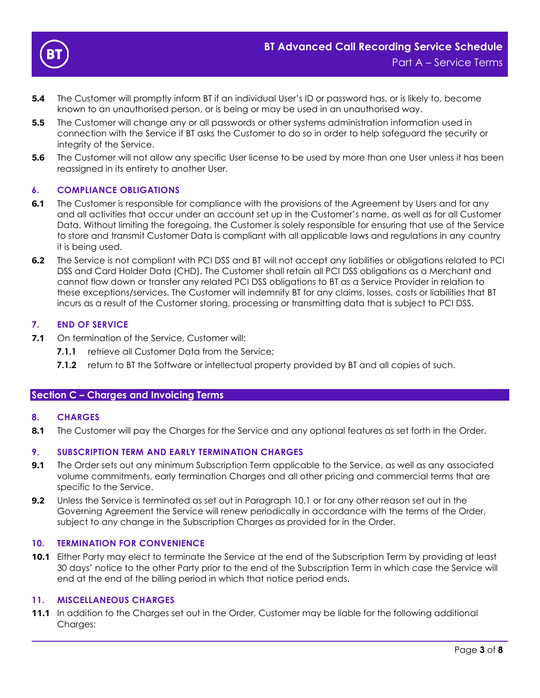

- **5.4** The Customer will promptly inform BT if an individual User's ID or password has, or is likely to, become known to an unauthorised person, or is being or may be used in an unauthorised way.
- **5.5** The Customer will change any or all passwords or other systems administration information used in connection with the Service if BT asks the Customer to do so in order to help safeguard the security or integrity of the Service.
- **5.6** The Customer will not allow any specific User license to be used by more than one User unless it has been reassigned in its entirety to another User.

## **6. COMPLIANCE OBLIGATIONS**

- **6.1** The Customer is responsible for compliance with the provisions of the Agreement by Users and for any and all activities that occur under an account set up in the Customer's name, as well as for all Customer Data. Without limiting the foregoing, the Customer is solely responsible for ensuring that use of the Service to store and transmit Customer Data is compliant with all applicable laws and regulations in any country it is being used.
- **6.2** The Service is not compliant with PCI DSS and BT will not accept any liabilities or obligations related to PCI DSS and Card Holder Data (CHD). The Customer shall retain all PCI DSS obligations as a Merchant and cannot flow down or transfer any related PCI DSS obligations to BT as a Service Provider in relation to these exceptions/services. The Customer will indemnify BT for any claims, losses, costs or liabilities that BT incurs as a result of the Customer storing, processing or transmitting data that is subject to PCI DSS.

## **7. END OF SERVICE**

- **7.1** On termination of the Service, Customer will:
	- **7.1.1** retrieve all Customer Data from the Service:
	- **7.1.2** return to BT the Software or intellectual property provided by BT and all copies of such.

## **Section C – Charges and Invoicing Terms**

## **8. CHARGES**

**8.1** The Customer will pay the Charges for the Service and any optional features as set forth in the Order.

#### **9. SUBSCRIPTION TERM AND EARLY TERMINATION CHARGES**

- **9.1** The Order sets out any minimum Subscription Term applicable to the Service, as well as any associated volume commitments, early termination Charges and all other pricing and commercial terms that are specific to the Service.
- **9.2** Unless the Service is terminated as set out in Paragraph [10.1](#page-2-0) or for any other reason set out in the Governing Agreement the Service will renew periodically in accordance with the terms of the Order, subject to any change in the Subscription Charges as provided for in the Order.

#### **10. TERMINATION FOR CONVENIENCE**

<span id="page-2-0"></span>**10.1** Either Party may elect to terminate the Service at the end of the Subscription Term by providing at least 30 days' notice to the other Party prior to the end of the Subscription Term in which case the Service will end at the end of the billing period in which that notice period ends.

#### **11. MISCELLANEOUS CHARGES**

**11.1** In addition to the Charges set out in the Order, Customer may be liable for the following additional Charges: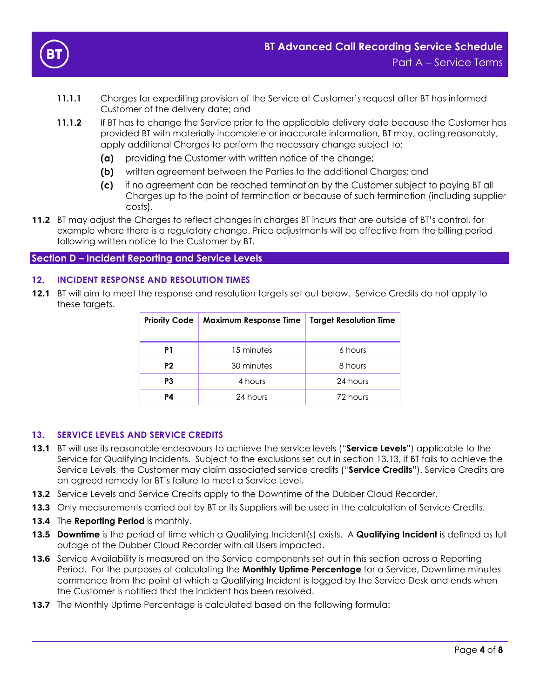

- **11.1.1** Charges for expediting provision of the Service at Customer's request after BT has informed Customer of the delivery date; and
- **11.1.2** If BT has to change the Service prior to the applicable delivery date because the Customer has provided BT with materially incomplete or inaccurate information, BT may, acting reasonably, apply additional Charges to perform the necessary change subject to:
	- providing the Customer with written notice of the change; (a) —
	- (b) written agreement between the Parties to the additional Charges; and
	- (c) if no agreement can be reached termination by the Customer subject to paying BT all Charges up to the point of termination or because of such termination (including supplier costs).
- **11.2** BT may adjust the Charges to reflect changes in charges BT incurs that are outside of BT's control, for example where there is a regulatory change. Price adjustments will be effective from the billing period following written notice to the Customer by BT.

## **Section D – Incident Reporting and Service Levels**

## **12. INCIDENT RESPONSE AND RESOLUTION TIMES**

**12.1** BT will aim to meet the response and resolution targets set out below. Service Credits do not apply to these targets.

| <b>Priority Code</b> | <b>Maximum Response Time</b> | <b>Target Resolution Time</b> |  |
|----------------------|------------------------------|-------------------------------|--|
| P1                   | 15 minutes                   | 6 hours                       |  |
| P <sub>2</sub>       | 30 minutes                   | 8 hours                       |  |
| P3                   | 4 hours                      | 24 hours                      |  |
| P4                   | 24 hours                     | 72 hours                      |  |

#### **13. SERVICE LEVELS AND SERVICE CREDITS**

- **13.1** BT will use its reasonable endeavours to achieve the service levels ("**Service Levels"**) applicable to the Service for Qualifying Incidents. Subject to the exclusions set out in section [13.13,](#page-5-0) if BT fails to achieve the Service Levels, the Customer may claim associated service credits ("**Service Credits**"). Service Credits are an agreed remedy for BT's failure to meet a Service Level.
- 13.2 Service Levels and Service Credits apply to the Downtime of the Dubber Cloud Recorder.
- **13.3** Only measurements carried out by BT or its Suppliers will be used in the calculation of Service Credits.
- **13.4** The **Reporting Period** is monthly.
- **13.5 Downtime** is the period of time which a Qualifying Incident(s) exists. A **Qualifying Incident** is defined as full outage of the Dubber Cloud Recorder with all Users impacted.
- **13.6** Service Availability is measured on the Service components set out in this section across a Reporting Period. For the purposes of calculating the **Monthly Uptime Percentage** for a Service, Downtime minutes commence from the point at which a Qualifying Incident is logged by the Service Desk and ends when the Customer is notified that the Incident has been resolved.
- **13.7** The Monthly Uptime Percentage is calculated based on the following formula: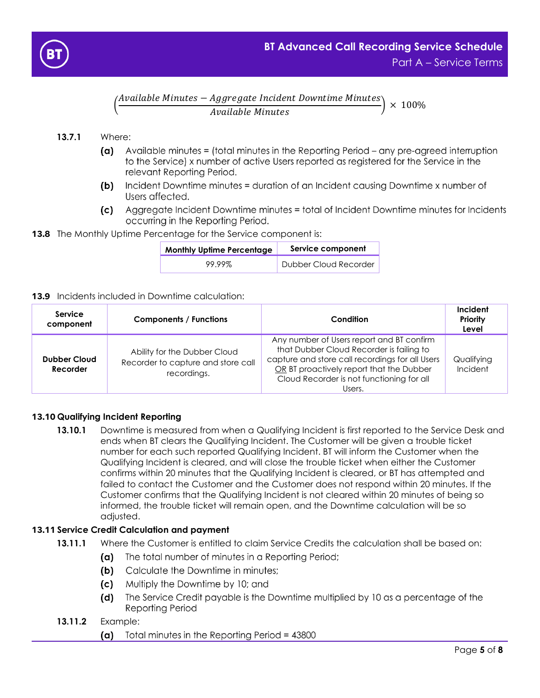

( Available Minutes − Aggregate Incident Downtime Minutes  $\left(\frac{1}{3}\right) \times 100\%$ <br>Available Minutes

## **13.7.1** Where:

- Available minutes = (total minutes in the Reporting Period any pre-agreed interruption (a) to the Service) x number of active Users reported as registered for the Service in the relevant Reporting Period.
- Incident Downtime minutes = duration of an Incident causing Downtime x number of  $(b)$ Users affected.
- (c) Aggregate Incident Downtime minutes = total of Incident Downtime minutes for Incidents occurring in the Reporting Period.

## **13.8** The Monthly Uptime Percentage for the Service component is:

| <b>Monthly Uptime Percentage</b> | Service component     |  |
|----------------------------------|-----------------------|--|
| 99.99%                           | Dubber Cloud Recorder |  |

#### **13.9** Incidents included in Downtime calculation:

| Service<br>component            | <b>Components / Functions</b>                                                     | Condition                                                                                                                                                                                                                                   | Incident<br>Priority<br>Level |
|---------------------------------|-----------------------------------------------------------------------------------|---------------------------------------------------------------------------------------------------------------------------------------------------------------------------------------------------------------------------------------------|-------------------------------|
| <b>Dubber Cloud</b><br>Recorder | Ability for the Dubber Cloud<br>Recorder to capture and store call<br>recordings. | Any number of Users report and BT confirm<br>that Dubber Cloud Recorder is failing to<br>capture and store call recordings for all Users<br>OR BT proactively report that the Dubber<br>Cloud Recorder is not functioning for all<br>Users. | Qualifying<br>Incident        |

## **13.10 Qualifying Incident Reporting**

**13.10.1** Downtime is measured from when a Qualifying Incident is first reported to the Service Desk and ends when BT clears the Qualifying Incident. The Customer will be given a trouble ticket number for each such reported Qualifying Incident. BT will inform the Customer when the Qualifying Incident is cleared, and will close the trouble ticket when either the Customer confirms within 20 minutes that the Qualifying Incident is cleared, or BT has attempted and failed to contact the Customer and the Customer does not respond within 20 minutes. If the Customer confirms that the Qualifying Incident is not cleared within 20 minutes of being so informed, the trouble ticket will remain open, and the Downtime calculation will be so adjusted.

## **13.11 Service Credit Calculation and payment**

- **13.11.1** Where the Customer is entitled to claim Service Credits the calculation shall be based on:
	- (a) The total number of minutes in a Reporting Period;
	- (b) Calculate the Downtime in minutes;
	- (c) Multiply the Downtime by 10; and
	- The Service Credit payable is the Downtime multiplied by 10 as a percentage of the (d) Reporting Period

## **13.11.2** Example:

Total minutes in the Reporting Period = 43800 (a)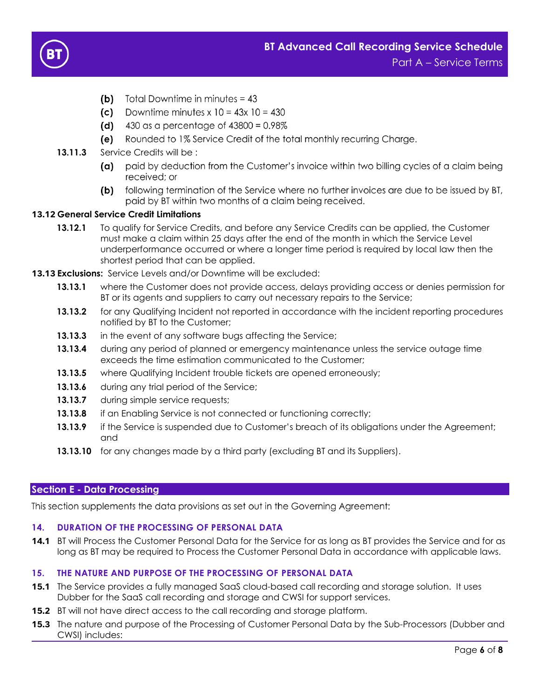

- (b) Total Downtime in minutes =  $43$
- (c) Downtime minutes  $x 10 = 43x 10 = 430$
- (d)  $430$  as a percentage of  $43800 = 0.98\%$
- (e) Rounded to 1% Service Credit of the total monthly recurring Charge.
- 13.11.3 Service Credits will be :
	- (a) paid by deduction from the Customer's invoice within two billing cycles of a claim being received: or
	- following termination of the Service where no further invoices are due to be issued by BT, (b) paid by BT within two months of a claim being received.

## **13.12 General Service Credit Limitations**

- **13.12.1** To qualify for Service Credits, and before any Service Credits can be applied, the Customer must make a claim within 25 days after the end of the month in which the Service Level underperformance occurred or where a longer time period is required by local law then the shortest period that can be applied.
- <span id="page-5-0"></span>**13.13 Exclusions:** Service Levels and/or Downtime will be excluded:
	- **13.13.1** where the Customer does not provide access, delays providing access or denies permission for BT or its agents and suppliers to carry out necessary repairs to the Service;
	- **13.13.2** for any Qualifying Incident not reported in accordance with the incident reporting procedures notified by BT to the Customer;
	- **13.13.3** in the event of any software bugs affecting the Service;
	- **13.13.4** during any period of planned or emergency maintenance unless the service outage time exceeds the time estimation communicated to the Customer;
	- **13.13.5** where Qualifying Incident trouble tickets are opened erroneously;
	- **13.13.6** during any trial period of the Service;
	- **13.13.7** during simple service requests;
	- **13.13.8** if an Enabling Service is not connected or functioning correctly;
	- **13.13.9** if the Service is suspended due to Customer's breach of its obligations under the Agreement; and
	- **13.13.10** for any changes made by a third party (excluding BT and its Suppliers).

## **Section E - Data Processing**

This section supplements the data provisions as set out in the Governing Agreement:

## **14. DURATION OF THE PROCESSING OF PERSONAL DATA**

**14.1** BT will Process the Customer Personal Data for the Service for as long as BT provides the Service and for as long as BT may be required to Process the Customer Personal Data in accordance with applicable laws.

## **15. THE NATURE AND PURPOSE OF THE PROCESSING OF PERSONAL DATA**

- **15.1** The Service provides a fully managed SaaS cloud-based call recording and storage solution. It uses Dubber for the SaaS call recording and storage and CWSI for support services.
- **15.2** BT will not have direct access to the call recording and storage platform.
- **15.3** The nature and purpose of the Processing of Customer Personal Data by the Sub-Processors (Dubber and CWSI) includes: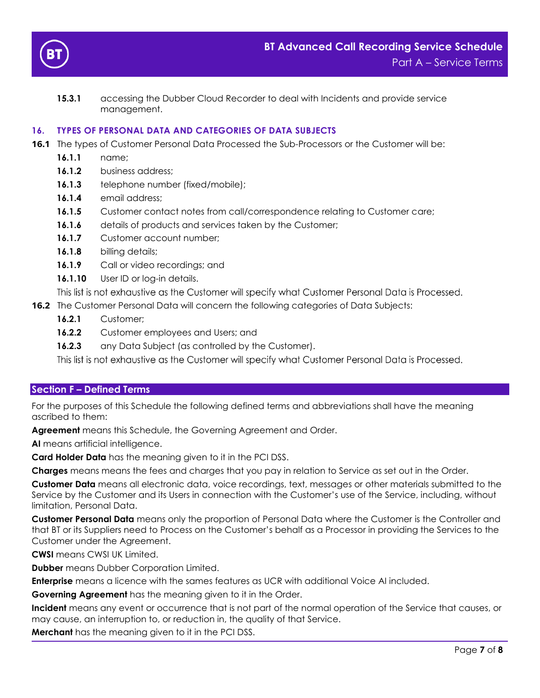

**15.3.1** accessing the Dubber Cloud Recorder to deal with Incidents and provide service management.

## **16. TYPES OF PERSONAL DATA AND CATEGORIES OF DATA SUBJECTS**

- **16.1** The types of Customer Personal Data Processed the Sub-Processors or the Customer will be:
	- **16.1.1** name;
	- 16.1.2 business address;
	- **16.1.3** telephone number (fixed/mobile);
	- **16.1.4** email address;
	- **16.1.5** Customer contact notes from call/correspondence relating to Customer care;
	- **16.1.6** details of products and services taken by the Customer;
	- 16.1.7 Customer account number;
	- **16.1.8** billing details;
	- 16.1.9 Call or video recordings; and
	- 16.1.10 User ID or log-in details.

This list is not exhaustive as the Customer will specify what Customer Personal Data is Processed.

- **16.2** The Customer Personal Data will concern the following categories of Data Subjects:
	- **16.2.1** Customer;
	- **16.2.2** Customer employees and Users; and
	- **16.2.3** any Data Subject (as controlled by the Customer).

This list is not exhaustive as the Customer will specify what Customer Personal Data is Processed.

## **Section F – Defined Terms**

For the purposes of this Schedule the following defined terms and abbreviations shall have the meaning ascribed to them:

**Agreement** means this Schedule, the Governing Agreement and Order.

**AI** means artificial intelligence.

**Card Holder Data** has the meaning given to it in the PCI DSS.

**Charges** means means the fees and charges that you pay in relation to Service as set out in the Order.

**Customer Data** means all electronic data, voice recordings, text, messages or other materials submitted to the Service by the Customer and its Users in connection with the Customer's use of the Service, including, without limitation, Personal Data.

**Customer Personal Data** means only the proportion of Personal Data where the Customer is the Controller and that BT or its Suppliers need to Process on the Customer's behalf as a Processor in providing the Services to the Customer under the Agreement.

**CWSI** means CWSI UK Limited.

**Dubber** means Dubber Corporation Limited.

**Enterprise** means a licence with the sames features as UCR with additional Voice AI included.

**Governing Agreement** has the meaning given to it in the Order.

**Incident** means any event or occurrence that is not part of the normal operation of the Service that causes, or may cause, an interruption to, or reduction in, the quality of that Service.

**Merchant** has the meaning given to it in the PCI DSS.